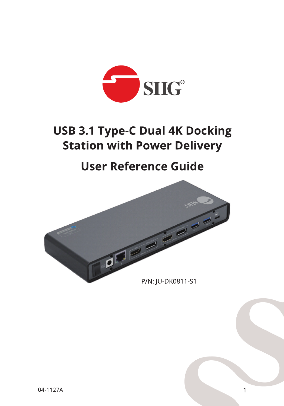

# **USB 3.1 Type-C Dual 4K Docking Station with Power Delivery**

# **User Reference Guide**



 $\mathbf{1}$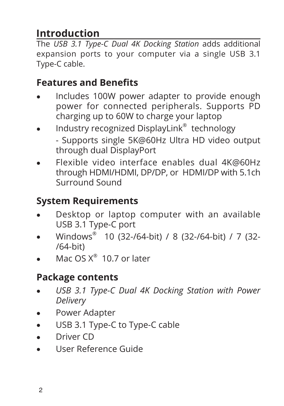## **Introduction**

The *USB 3.1 Type-C Dual 4K Docking Station* adds additional expansion ports to your computer via a single USB 3.1 Type-C cable.

### **Features and Benefits**

- Includes 100W power adapter to provide enough power for connected peripherals. Supports PD charging up to 60W to charge your laptop
- Industry recognized DisplayLink<sup>®</sup> technology - Supports single 5K@60Hz Ultra HD video output through dual DisplayPort
- Flexible video interface enables dual 4K@60Hz through HDMI/HDMI, DP/DP, or HDMI/DP with 5.1ch Surround Sound

## **System Requirements**

- Desktop or laptop computer with an available USB 3.1 Type-C port
- Windows<sup>®</sup> 10 (32-/64-bit) / 8 (32-/64-bit) / 7 (32-/64-bit)
- Mac  $OS X^{\circledast}$  10.7 or later

## **Package contents**

- USB 3.1 Type-C Dual 4K Docking Station with Power *Delivery*
- Power Adapter
- USB 3.1 Type-C to Type-C cable
- • Driver CD
- • User Reference Guide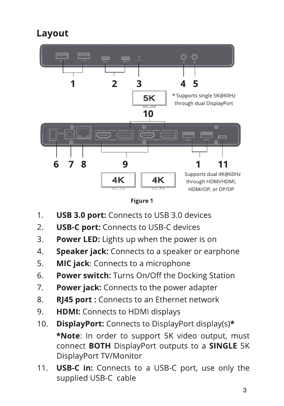## Layout





- **USB 3.0 port:** Connects to USB 3.0 devices 1.
- $2.$ **USB-C port:** Connects to USB-C devices
- $\overline{3}$ . **Power LED:** Lights up when the power is on
- Speaker jack: Connects to a speaker or earphone  $\mathcal{A}_{\cdot}$
- **MIC jack:** Connects to a microphone 5.
- **Power switch:** Turns On/Off the Docking Station 6.
- $7.$ **Power jack:** Connects to the power adapter
- RJ45 port: Connects to an Ethernet network 8.
- 9. **HDMI:** Connects to HDMI displays
- $10.$ **DisplayPort:** Connects to DisplayPort display(s)\* \*Note: In order to support 5K video output, must connect BOTH DisplayPort outputs to a SINGLE 5K DisplayPort TV/Monitor
- $11.$ **USB-C in:** Connects to a USB-C port, use only the supplied USB-C cable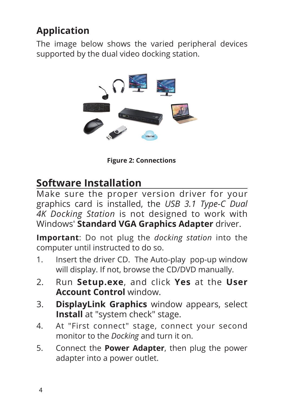## **Application**

The image below shows the varied peripheral devices supported by the dual video docking station.



**Figure 2: Connections**

## **Software Installation**

Make sure the proper version driver for your graphics card is installed, the *USB 3.1 Type-C Dual 4K Docking Station* is not designed to work with Windows' **Standard VGA Graphics Adapter** driver.

**Important**: Do not plug the *docking station* into the computer until instructed to do so.

- 1. Insert the driver CD. The Auto-play pop-up window will display. If not, browse the CD/DVD manually.
- 2. Run **Setup.exe**, and click **Yes** at the **User Account Control** window.
- 3. **DisplayLink Graphics** window appears, select **Install** at "system check" stage.
- 4. At "First connect" stage, connect your second monitor to the *Docking* and turn it on.
- 5. Connect the **Power Adapter**, then plug the power adapter into a power outlet.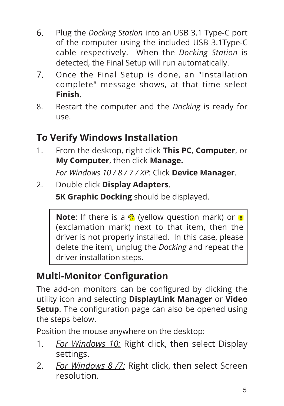- 6. Plug the *Docking Station* into an USB 3.1 Type-C port of the computer using the included USB 3.1Type-C cable respectively. When the *Docking Station* is detected, the Final Setup will run automatically.
- 7. Once the Final Setup is done, an "Installation complete" message shows, at that time select **Finish**.
- 8. Restart the computer and the *Docking* is ready for use.

## **To Verify Windows Installation**

1. From the desktop, right click **This PC**, **Computer**, or **My Computer**, then click **Manage.**

*For Windows 10 / 8 / 7 / XP*: Click **Device Manager**.

2. Double click **Display Adapters**.

**5K Graphic Docking** should be displayed.

**Note**: If there is a **B** (yellow question mark) or **B** (exclamation mark) next to that item, then the driver is not properly installed. In this case, please delete the item, unplug the *Docking* and repeat the driver installation steps.

## **Multi-Monitor Configuration**

The add-on monitors can be configured by clicking the utility icon and selecting **DisplayLink Manager** or **Video Setup**. The configuration page can also be opened using the steps below.

Position the mouse anywhere on the desktop:

- 1. *For Windows 10:* Right click, then select Display settings.
- 2. *For Windows 8 /7:* Right click, then select Screen resolution.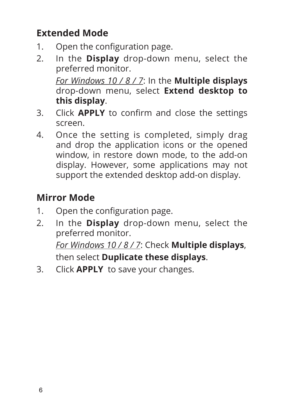## **Extended Mode**

- 1. Open the configuration page.
- 2. In the **Display** drop-down menu, select the preferred monitor.

*For Windows 10 / 8 / 7*: In the **Multiple displays**  drop-down menu, select **Extend desktop to this display**.

- 3. Click **APPLY** to confirm and close the settings screen.
- 4. Once the setting is completed, simply drag and drop the application icons or the opened window, in restore down mode, to the add-on display. However, some applications may not support the extended desktop add-on display.

# **Mirror Mode**

- 1. Open the configuration page.
- 2. In the **Display** drop-down menu, select the preferred monitor. *For Windows 10 / 8 / 7*: Check **Multiple displays**, then select **Duplicate these displays**.
- 3. Click **APPLY** to save your changes.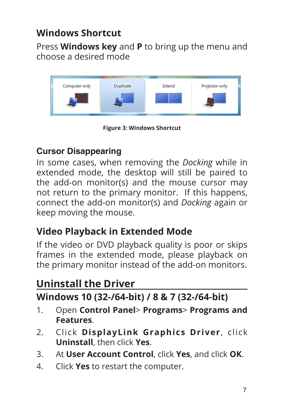### **Windows Shortcut**

Press **Windows key** and **P** to bring up the menu and choose a desired mode



**Figure 3: Windows Shortcut**

#### **Cursor Disappearing**

In some cases, when removing the *Docking* while in extended mode, the desktop will still be paired to the add-on monitor(s) and the mouse cursor may not return to the primary monitor. If this happens, connect the add-on monitor(s) and *Docking* again or keep moving the mouse.

#### **Video Playback in Extended Mode**

If the video or DVD playback quality is poor or skips frames in the extended mode, please playback on the primary monitor instead of the add-on monitors.

## **Uninstall the Driver**

#### **Windows 10 (32-/64-bit) / 8 & 7 (32-/64-bit)**

- 1. Open **Control Panel**> **Programs**> **Programs and Features**.
- 2. Click **DisplayLink Graphics Driver**, click **Uninstall**, then click **Yes**.
- 3. At **User Account Control**, click **Yes**, and click **OK**.
- 4. Click **Yes** to restart the computer.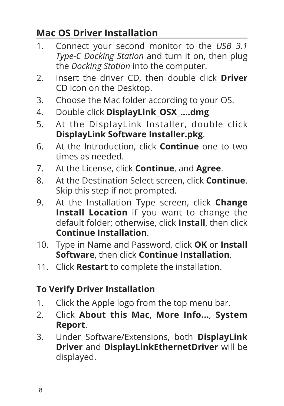### **Mac OS Driver Installation**

- 1. Connect your second monitor to the *USB 3.1 Type-C Docking Station* and turn it on, then plug the *Docking Station* into the computer.
- 2. Insert the driver CD, then double click **Driver**  CD icon on the Desktop.
- 3. Choose the Mac folder according to your OS.
- 4. Double click **DisplayLink\_OSX\_....dmg**
- 5. At the DisplayLink Installer, double click **DisplayLink Software Installer.pkg**.
- 6. At the Introduction, click **Continue** one to two times as needed.
- 7. At the License, click **Continue**, and **Agree**.
- 8. At the Destination Select screen, click **Continue**. Skip this step if not prompted.
- 9. At the Installation Type screen, click **Change Install Location** if you want to change the default folder; otherwise, click **Install**, then click **Continue Installation**.
- 10. Type in Name and Password, click **OK** or **Install Software**, then click **Continue Installation**.
- 11. Click **Restart** to complete the installation.

#### **To Verify Driver Installation**

- 1. Click the Apple logo from the top menu bar.
- 2. Click **About this Mac**, **More Info...**, **System Report**.
- 3. Under Software/Extensions, both **DisplayLink Driver** and **DisplayLinkEthernetDriver** will be displayed.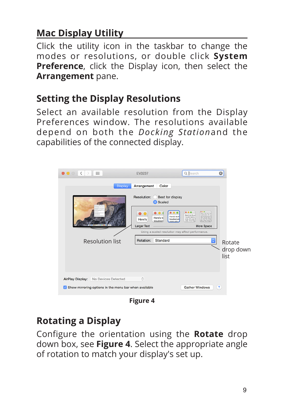## **Mac Display Utility**

Click the utility icon in the taskbar to change the modes or resolutions, or double click **System Preference**, click the Display icon, then select the **Arrangement** pane.

#### **Setting the Display Resolutions**

Select an available resolution from the Display Preferences window. The resolutions available depend on both the *Docking Station*and the capabilities of the connected display.

| m.<br>$\langle$ $\rangle$<br>$\bullet\bullet\circ$                                                  | EV3237                                                                                          | Q Search                                                                                                                                                                                                                                                                                                                | $\circledcirc$              |
|-----------------------------------------------------------------------------------------------------|-------------------------------------------------------------------------------------------------|-------------------------------------------------------------------------------------------------------------------------------------------------------------------------------------------------------------------------------------------------------------------------------------------------------------------------|-----------------------------|
| Arrangement<br><b>Display</b><br>Color                                                              |                                                                                                 |                                                                                                                                                                                                                                                                                                                         |                             |
|                                                                                                     | Resolution:<br>Best for display<br><b>O</b> Scaled                                              |                                                                                                                                                                                                                                                                                                                         |                             |
|                                                                                                     | Here's to th<br>Here's to<br>troublemail<br>Here's<br>troublem<br>nnes wh<br><b>Larger Text</b> | $-0.0$<br>0.0.0<br>Here's to the crain one<br>Here's to the or<br><b><i>Indianapa</i></b> Parts<br>ones who see Nous all<br>troublemakers.<br>tyles. And they have not<br>can quote them, disape<br>ones who see t<br>Part, About the only the<br>rules. And they<br><b>Because they shange of</b><br><b>More Space</b> |                             |
| Using a scaled resolution may affect performance.                                                   |                                                                                                 |                                                                                                                                                                                                                                                                                                                         |                             |
| <b>Resolution list</b>                                                                              | Standard<br>Rotation:                                                                           | $\Diamond$                                                                                                                                                                                                                                                                                                              | Rotate<br>drop down<br>list |
| <b>AirPlay Display:</b><br>No Devices Detected                                                      | $\hat{\mathcal{C}}$                                                                             |                                                                                                                                                                                                                                                                                                                         |                             |
| $\left( 2\right)$<br><b>Gather Windows</b><br>Show mirroring options in the menu bar when available |                                                                                                 |                                                                                                                                                                                                                                                                                                                         |                             |

**Figure 4**

#### **Rotating a Display**

Configure the orientation using the **Rotate** drop down box, see **Figure 4**. Select the appropriate angle of rotation to match your display's set up.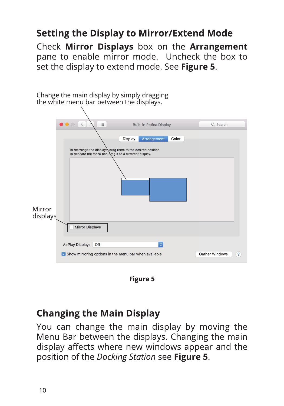### **Setting the Display to Mirror/Extend Mode**

Check Mirror Displays box on the Arrangement pane to enable mirror mode. Uncheck the box to set the display to extend mode. See Figure 5.



**Figure 5** 

#### **Changing the Main Display**

You can change the main display by moving the Menu Bar between the displays. Changing the main display affects where new windows appear and the position of the Docking Station see Figure 5.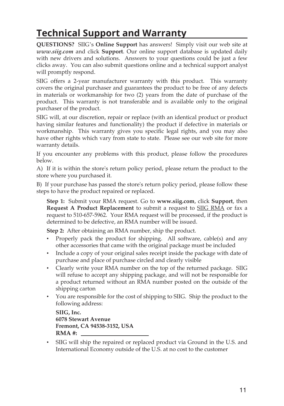## **Technical Support and Warranty**

**QUESTIONS?** SIIG's **Online Support** has answers! Simply visit our web site at *www.siig.com* and click **Support**. Our online support database is updated daily with new drivers and solutions. Answers to your questions could be just a few clicks away. You can also submit questions online and a technical support analyst will promptly respond.

SIIG offers a 2-year manufacturer warranty with this product. This warranty covers the original purchaser and guarantees the product to be free of any defects in materials or workmanship for two (2) years from the date of purchase of the product. This warranty is not transferable and is available only to the original purchaser of the product.

SIIG will, at our discretion, repair or replace (with an identical product or product having similar features and functionality) the product if defective in materials or workmanship. This warranty gives you specific legal rights, and you may also have other rights which vary from state to state. Please see our web site for more warranty details.

If you encounter any problems with this product, please follow the procedures below.

A) If it is within the store's return policy period, please return the product to the store where you purchased it.

B) If your purchase has passed the store's return policy period, please follow these steps to have the product repaired or replaced.

**Step 1:** Submit your RMA request. Go to **www.siig.com**, click **Support**, then **Request A Product Replacement** to submit a request to SIIG RMA or fax a request to 510-657-5962. Your RMA request will be processed, if the product is determined to be defective, an RMA number will be issued.

**Step 2:** After obtaining an RMA number, ship the product.

- Properly pack the product for shipping. All software, cable(s) and any other accessories that came with the original package must be included
- Include a copy of your original sales receipt inside the package with date of purchase and place of purchase circled and clearly visible
- Clearly write your RMA number on the top of the returned package. SIIG will refuse to accept any shipping package, and will not be responsible for a product returned without an RMA number posted on the outside of the shipping carton
- You are responsible for the cost of shipping to SIIG. Ship the product to the following address:

```
SIIG, Inc.
6078 Stewart Avenue
Fremont, CA 94538-3152, USA
RMA #:
```
• SIIG will ship the repaired or replaced product via Ground in the U.S. and International Economy outside of the U.S. at no cost to the customer